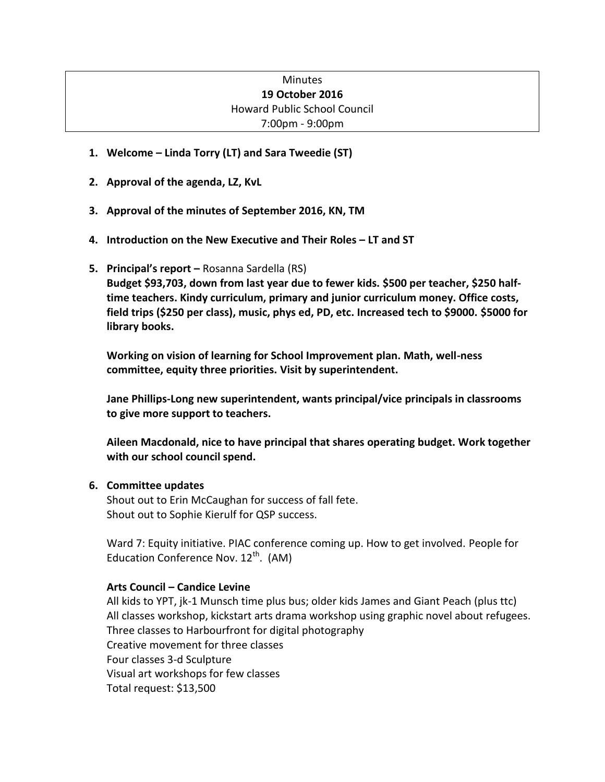# **Minutes 19 October 2016** Howard Public School Council 7:00pm - 9:00pm

- **1. Welcome – Linda Torry (LT) and Sara Tweedie (ST)**
- **2. Approval of the agenda, LZ, KvL**
- **3. Approval of the minutes of September 2016, KN, TM**
- **4. Introduction on the New Executive and Their Roles – LT and ST**
- **5. Principal's report –** Rosanna Sardella (RS)

**Budget \$93,703, down from last year due to fewer kids. \$500 per teacher, \$250 halftime teachers. Kindy curriculum, primary and junior curriculum money. Office costs, field trips (\$250 per class), music, phys ed, PD, etc. Increased tech to \$9000. \$5000 for library books.**

**Working on vision of learning for School Improvement plan. Math, well-ness committee, equity three priorities. Visit by superintendent.** 

**Jane Phillips-Long new superintendent, wants principal/vice principals in classrooms to give more support to teachers.**

**Aileen Macdonald, nice to have principal that shares operating budget. Work together with our school council spend.** 

### **6. Committee updates**

Shout out to Erin McCaughan for success of fall fete. Shout out to Sophie Kierulf for QSP success.

Ward 7: Equity initiative. PIAC conference coming up. How to get involved. People for Education Conference Nov.  $12^{th}$ . (AM)

### **Arts Council – Candice Levine**

All kids to YPT, jk-1 Munsch time plus bus; older kids James and Giant Peach (plus ttc) All classes workshop, kickstart arts drama workshop using graphic novel about refugees. Three classes to Harbourfront for digital photography Creative movement for three classes Four classes 3-d Sculpture Visual art workshops for few classes Total request: \$13,500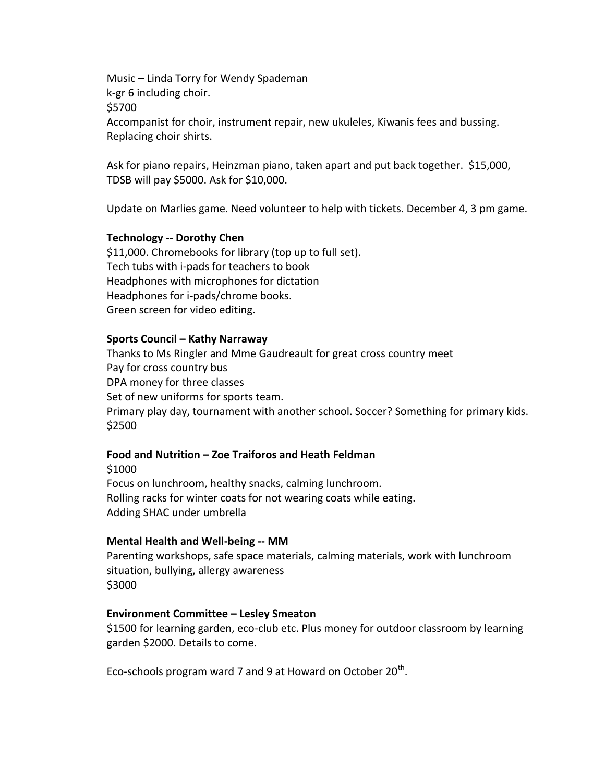Music – Linda Torry for Wendy Spademan k-gr 6 including choir. \$5700 Accompanist for choir, instrument repair, new ukuleles, Kiwanis fees and bussing. Replacing choir shirts.

Ask for piano repairs, Heinzman piano, taken apart and put back together. \$15,000, TDSB will pay \$5000. Ask for \$10,000.

Update on Marlies game. Need volunteer to help with tickets. December 4, 3 pm game.

#### **Technology -- Dorothy Chen**

\$11,000. Chromebooks for library (top up to full set). Tech tubs with i-pads for teachers to book Headphones with microphones for dictation Headphones for i-pads/chrome books. Green screen for video editing.

#### **Sports Council – Kathy Narraway**

Thanks to Ms Ringler and Mme Gaudreault for great cross country meet Pay for cross country bus DPA money for three classes Set of new uniforms for sports team. Primary play day, tournament with another school. Soccer? Something for primary kids. \$2500

## **Food and Nutrition – Zoe Traiforos and Heath Feldman**

\$1000 Focus on lunchroom, healthy snacks, calming lunchroom. Rolling racks for winter coats for not wearing coats while eating. Adding SHAC under umbrella

#### **Mental Health and Well-being -- MM**

Parenting workshops, safe space materials, calming materials, work with lunchroom situation, bullying, allergy awareness \$3000

### **Environment Committee – Lesley Smeaton**

\$1500 for learning garden, eco-club etc. Plus money for outdoor classroom by learning garden \$2000. Details to come.

Eco-schools program ward 7 and 9 at Howard on October  $20<sup>th</sup>$ .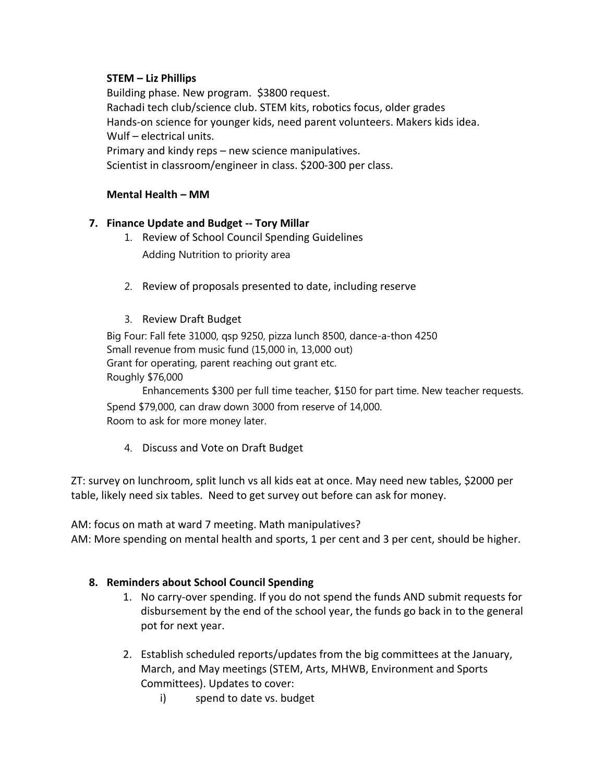# **STEM – Liz Phillips**

Building phase. New program. \$3800 request. Rachadi tech club/science club. STEM kits, robotics focus, older grades Hands-on science for younger kids, need parent volunteers. Makers kids idea. Wulf – electrical units. Primary and kindy reps – new science manipulatives. Scientist in classroom/engineer in class. \$200-300 per class.

# **Mental Health – MM**

# **7. Finance Update and Budget -- Tory Millar**

- 1. Review of School Council Spending Guidelines Adding Nutrition to priority area
- 2. Review of proposals presented to date, including reserve
- 3. Review Draft Budget

Big Four: Fall fete 31000, qsp 9250, pizza lunch 8500, dance-a-thon 4250 Small revenue from music fund (15,000 in, 13,000 out) Grant for operating, parent reaching out grant etc. Roughly \$76,000

Enhancements \$300 per full time teacher, \$150 for part time. New teacher requests. Spend \$79,000, can draw down 3000 from reserve of 14,000. Room to ask for more money later.

4. Discuss and Vote on Draft Budget

ZT: survey on lunchroom, split lunch vs all kids eat at once. May need new tables, \$2000 per table, likely need six tables. Need to get survey out before can ask for money.

AM: focus on math at ward 7 meeting. Math manipulatives? AM: More spending on mental health and sports, 1 per cent and 3 per cent, should be higher.

# **8. Reminders about School Council Spending**

- 1. No carry-over spending. If you do not spend the funds AND submit requests for disbursement by the end of the school year, the funds go back in to the general pot for next year.
- 2. Establish scheduled reports/updates from the big committees at the January, March, and May meetings (STEM, Arts, MHWB, Environment and Sports Committees). Updates to cover:
	- i) spend to date vs. budget